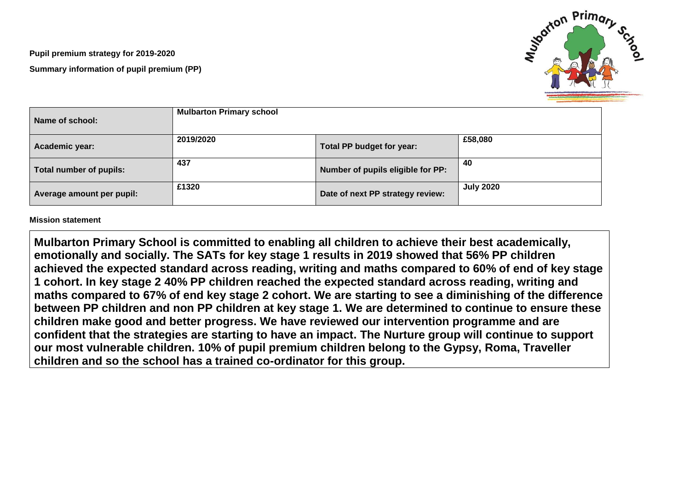**Pupil premium strategy for 2019-2020 Summary information of pupil premium (PP)**



| Name of school:           | <b>Mulbarton Primary school</b> |                                   |                  |
|---------------------------|---------------------------------|-----------------------------------|------------------|
| Academic year:            | 2019/2020                       | Total PP budget for year:         | £58,080          |
| Total number of pupils:   | 437                             | Number of pupils eligible for PP: | 40               |
| Average amount per pupil: | £1320                           | Date of next PP strategy review:  | <b>July 2020</b> |

**Mission statement**

**Mulbarton Primary School is committed to enabling all children to achieve their best academically, emotionally and socially. The SATs for key stage 1 results in 2019 showed that 56% PP children achieved the expected standard across reading, writing and maths compared to 60% of end of key stage 1 cohort. In key stage 2 40% PP children reached the expected standard across reading, writing and maths compared to 67% of end key stage 2 cohort. We are starting to see a diminishing of the difference between PP children and non PP children at key stage 1. We are determined to continue to ensure these children make good and better progress. We have reviewed our intervention programme and are confident that the strategies are starting to have an impact. The Nurture group will continue to support our most vulnerable children. 10% of pupil premium children belong to the Gypsy, Roma, Traveller children and so the school has a trained co-ordinator for this group.**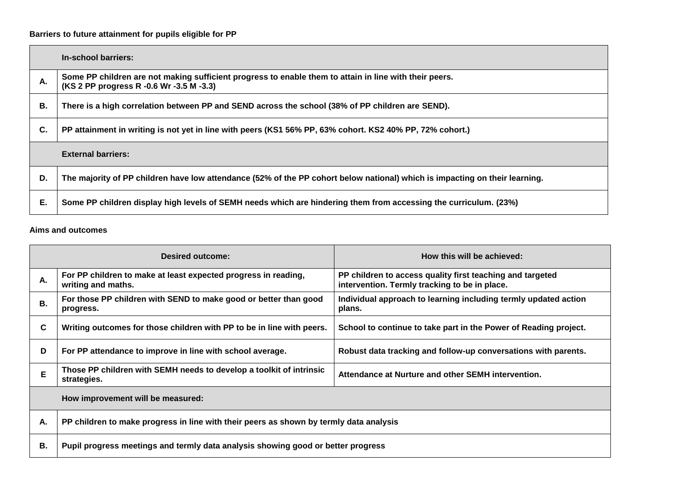## **Barriers to future attainment for pupils eligible for PP**

|    | In-school barriers:                                                                                                                                |
|----|----------------------------------------------------------------------------------------------------------------------------------------------------|
| А. | Some PP children are not making sufficient progress to enable them to attain in line with their peers.<br>(KS 2 PP progress R -0.6 Wr -3.5 M -3.3) |
| В. | There is a high correlation between PP and SEND across the school (38% of PP children are SEND).                                                   |
| C. | PP attainment in writing is not yet in line with peers (KS1 56% PP, 63% cohort. KS2 40% PP, 72% cohort.)                                           |
|    | <b>External barriers:</b>                                                                                                                          |
| D. | The majority of PP children have low attendance (52% of the PP cohort below national) which is impacting on their learning.                        |
| Е. | Some PP children display high levels of SEMH needs which are hindering them from accessing the curriculum. (23%)                                   |

## **Aims and outcomes**

|    | <b>Desired outcome:</b>                                                                | How this will be achieved:                                                                                 |  |  |
|----|----------------------------------------------------------------------------------------|------------------------------------------------------------------------------------------------------------|--|--|
| А. | For PP children to make at least expected progress in reading,<br>writing and maths.   | PP children to access quality first teaching and targeted<br>intervention. Termly tracking to be in place. |  |  |
| В. | For those PP children with SEND to make good or better than good<br>progress.          | Individual approach to learning including termly updated action<br>plans.                                  |  |  |
| C  | Writing outcomes for those children with PP to be in line with peers.                  | School to continue to take part in the Power of Reading project.                                           |  |  |
| D  | For PP attendance to improve in line with school average.                              | Robust data tracking and follow-up conversations with parents.                                             |  |  |
| Е  | Those PP children with SEMH needs to develop a toolkit of intrinsic<br>strategies.     | Attendance at Nurture and other SEMH intervention.                                                         |  |  |
|    | How improvement will be measured:                                                      |                                                                                                            |  |  |
| А. | PP children to make progress in line with their peers as shown by termly data analysis |                                                                                                            |  |  |
| В. | Pupil progress meetings and termly data analysis showing good or better progress       |                                                                                                            |  |  |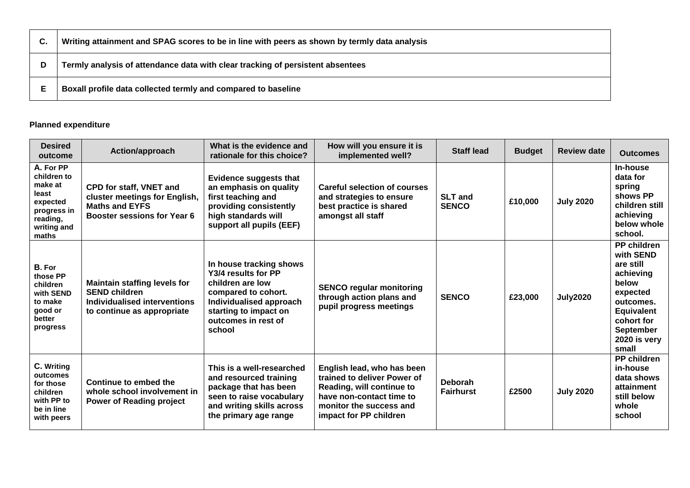|   | Writing attainment and SPAG scores to be in line with peers as shown by termly data analysis |
|---|----------------------------------------------------------------------------------------------|
| D | Termly analysis of attendance data with clear tracking of persistent absentees               |
|   | Boxall profile data collected termly and compared to baseline                                |

## **Planned expenditure**

| <b>Desired</b><br>outcome                                                                                   | Action/approach                                                                                                                | What is the evidence and<br>rationale for this choice?                                                                                                                         | How will you ensure it is<br>implemented well?                                                                                                                          | <b>Staff lead</b>                  | <b>Budget</b> | <b>Review date</b> | <b>Outcomes</b>                                                                                                                                                             |
|-------------------------------------------------------------------------------------------------------------|--------------------------------------------------------------------------------------------------------------------------------|--------------------------------------------------------------------------------------------------------------------------------------------------------------------------------|-------------------------------------------------------------------------------------------------------------------------------------------------------------------------|------------------------------------|---------------|--------------------|-----------------------------------------------------------------------------------------------------------------------------------------------------------------------------|
| A. For PP<br>children to<br>make at<br>least<br>expected<br>progress in<br>reading,<br>writing and<br>maths | <b>CPD for staff, VNET and</b><br>cluster meetings for English,<br><b>Maths and EYFS</b><br><b>Booster sessions for Year 6</b> | <b>Evidence suggests that</b><br>an emphasis on quality<br>first teaching and<br>providing consistently<br>high standards will<br>support all pupils (EEF)                     | Careful selection of courses<br>and strategies to ensure<br>best practice is shared<br>amongst all staff                                                                | <b>SLT and</b><br><b>SENCO</b>     | £10,000       | <b>July 2020</b>   | In-house<br>data for<br>spring<br>shows PP<br>children still<br>achieving<br>below whole<br>school.                                                                         |
| B. For<br>those PP<br>children<br>with SEND<br>to make<br>good or<br>better<br>progress                     | <b>Maintain staffing levels for</b><br><b>SEND children</b><br>Individualised interventions<br>to continue as appropriate      | In house tracking shows<br>Y3/4 results for PP<br>children are low<br>compared to cohort.<br>Individualised approach<br>starting to impact on<br>outcomes in rest of<br>school | <b>SENCO regular monitoring</b><br>through action plans and<br>pupil progress meetings                                                                                  | <b>SENCO</b>                       | £23,000       | <b>July2020</b>    | <b>PP children</b><br>with SEND<br>are still<br>achieving<br>below<br>expected<br>outcomes.<br><b>Equivalent</b><br>cohort for<br><b>September</b><br>2020 is very<br>small |
| C. Writing<br>outcomes<br>for those<br>children<br>with PP to<br>be in line<br>with peers                   | Continue to embed the<br>whole school involvement in<br><b>Power of Reading project</b>                                        | This is a well-researched<br>and resourced training<br>package that has been<br>seen to raise vocabulary<br>and writing skills across<br>the primary age range                 | English lead, who has been<br>trained to deliver Power of<br>Reading, will continue to<br>have non-contact time to<br>monitor the success and<br>impact for PP children | <b>Deborah</b><br><b>Fairhurst</b> | £2500         | <b>July 2020</b>   | <b>PP children</b><br>in-house<br>data shows<br>attainment<br>still below<br>whole<br>school                                                                                |